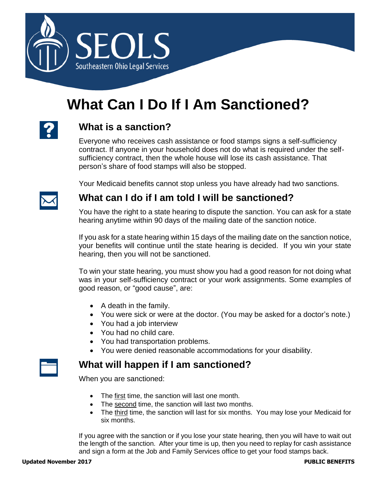

# **What Can I Do If I Am Sanctioned?**

## **What is a sanction?**

Everyone who receives cash assistance or food stamps signs a self-sufficiency contract. If anyone in your household does not do what is required under the selfsufficiency contract, then the whole house will lose its cash assistance. That person's share of food stamps will also be stopped.

Your Medicaid benefits cannot stop unless you have already had two sanctions.



### **What can I do if I am told I will be sanctioned?**

You have the right to a state hearing to dispute the sanction. You can ask for a state hearing anytime within 90 days of the mailing date of the sanction notice.

If you ask for a state hearing within 15 days of the mailing date on the sanction notice, your benefits will continue until the state hearing is decided. If you win your state hearing, then you will not be sanctioned.

To win your state hearing, you must show you had a good reason for not doing what was in your self-sufficiency contract or your work assignments. Some examples of good reason, or "good cause", are:

- A death in the family.
- You were sick or were at the doctor. (You may be asked for a doctor's note.)
- You had a job interview
- You had no child care.
- You had transportation problems.
- You were denied reasonable accommodations for your disability.

### **What will happen if I am sanctioned?**

When you are sanctioned:

- The first time, the sanction will last one month.
- The second time, the sanction will last two months.
- The third time, the sanction will last for six months. You may lose your Medicaid for six months.

If you agree with the sanction or if you lose your state hearing, then you will have to wait out the length of the sanction. After your time is up, then you need to replay for cash assistance and sign a form at the Job and Family Services office to get your food stamps back.